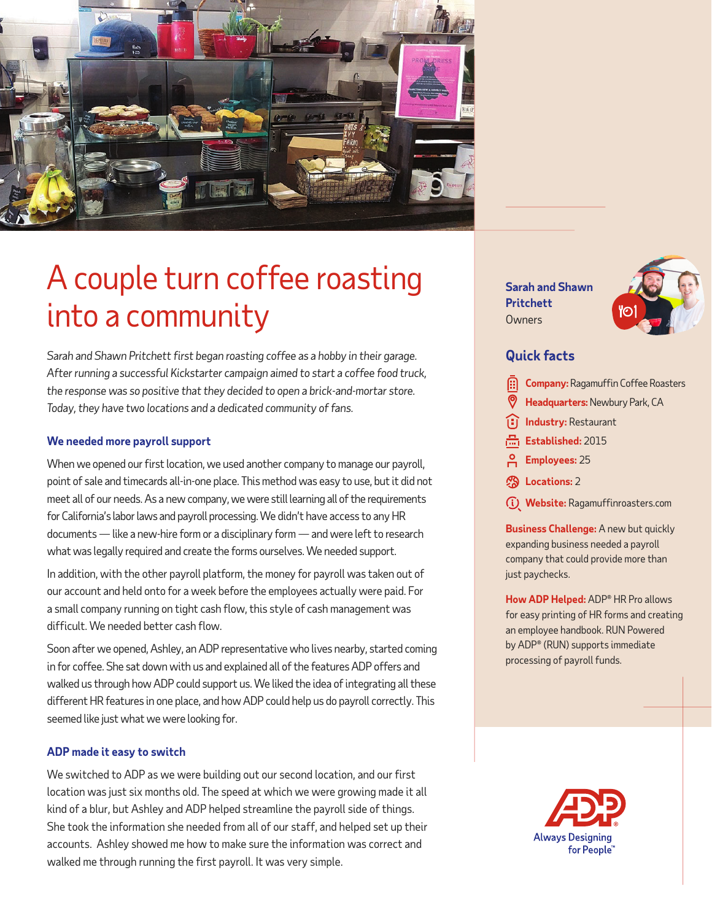

# A couple turn coffee roasting into a community

*Sarah and Shawn Pritchett first began roasting coffee as a hobby in their garage. After running a successful Kickstarter campaign aimed to start a coffee food truck, the response was so positive that they decided to open a brick-and-mortar store. Today, they have two locations and a dedicated community of fans.* 

### **We needed more payroll support**

When we opened our first location, we used another company to manage our payroll, point of sale and timecards all-in-one place. This method was easy to use, but it did not meet all of our needs. As a new company, we were still learning all of the requirements for California's labor laws and payroll processing. We didn't have access to any HR documents — like a new-hire form or a disciplinary form — and were left to research what was legally required and create the forms ourselves. We needed support.

In addition, with the other payroll platform, the money for payroll was taken out of our account and held onto for a week before the employees actually were paid. For a small company running on tight cash flow, this style of cash management was difficult. We needed better cash flow.

Soon after we opened, Ashley, an ADP representative who lives nearby, started coming in for coffee. She sat down with us and explained all of the features ADP offers and walked us through how ADP could support us. We liked the idea of integrating all these different HR features in one place, and how ADP could help us do payroll correctly. This seemed like just what we were looking for.

### **ADP made it easy to switch**

We switched to ADP as we were building out our second location, and our first location was just six months old. The speed at which we were growing made it all kind of a blur, but Ashley and ADP helped streamline the payroll side of things. She took the information she needed from all of our staff, and helped set up their accounts. Ashley showed me how to make sure the information was correct and walked me through running the first payroll. It was very simple.

**Sarah and Shawn Pritchett Owners** 



## **Quick facts**

- **Company:** Ragamuffin Coffee Roasters
- **Headquarters:**Newbury Park, CA
- **I**ll**ndustry:** Restaurant
- Established: 2015
- **Employees:** 25
- **Locations:** 2
- **Website:** Ragamuffinroasters.com

**Business Challenge:** A new but quickly expanding business needed a payroll company that could provide more than just paychecks.

**How ADP Helped:** ADP® HR Pro allows for easy printing of HR forms and creating an employee handbook. RUN Powered by ADP® (RUN) supports immediate processing of payroll funds.